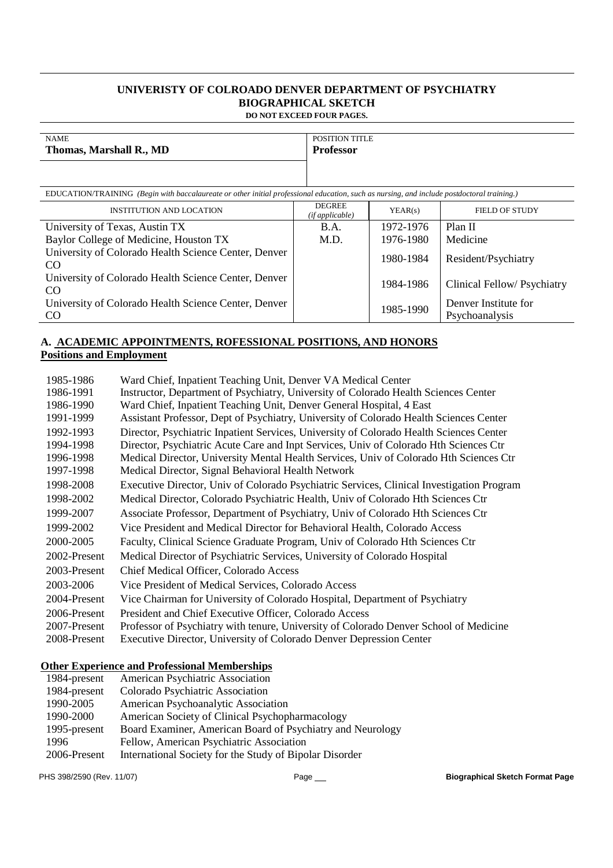### **UNIVERISTY OF COLROADO DENVER DEPARTMENT OF PSYCHIATRY BIOGRAPHICAL SKETCH DO NOT EXCEED FOUR PAGES.**

| <b>NAME</b><br>Thomas, Marshall R., MD                                                                                                     | <b>POSITION TITLE</b><br><b>Professor</b> |         |                       |
|--------------------------------------------------------------------------------------------------------------------------------------------|-------------------------------------------|---------|-----------------------|
| EDUCATION/TRAINING (Begin with baccalaureate or other initial professional education, such as nursing, and include postdoctoral training.) |                                           |         |                       |
| <b>INSTITUTION AND LOCATION</b>                                                                                                            | DEGREE                                    | YEAR(s) | <b>FIELD OF STUDY</b> |

| <b>INSTITUTION AND LOCATION</b>                                       | (ifappliedble) | YEAR(s)   | <b>FIELD OF STUDY</b>                  |
|-----------------------------------------------------------------------|----------------|-----------|----------------------------------------|
| University of Texas, Austin TX                                        | <b>B.A.</b>    | 1972-1976 | Plan II                                |
| Baylor College of Medicine, Houston TX                                | M.D.           | 1976-1980 | Medicine                               |
| University of Colorado Health Science Center, Denver<br>CO.           |                | 1980-1984 | Resident/Psychiatry                    |
| University of Colorado Health Science Center, Denver<br>CO.           |                | 1984-1986 | Clinical Fellow/ Psychiatry            |
| University of Colorado Health Science Center, Denver<br><sub>CO</sub> |                | 1985-1990 | Denver Institute for<br>Psychoanalysis |

## **A. ACADEMIC APPOINTMENTS, ROFESSIONAL POSITIONS, AND HONORS Positions and Employment**

| 1985-1986    | Ward Chief, Inpatient Teaching Unit, Denver VA Medical Center                             |
|--------------|-------------------------------------------------------------------------------------------|
| 1986-1991    | Instructor, Department of Psychiatry, University of Colorado Health Sciences Center       |
| 1986-1990    | Ward Chief, Inpatient Teaching Unit, Denver General Hospital, 4 East                      |
| 1991-1999    | Assistant Professor, Dept of Psychiatry, University of Colorado Health Sciences Center    |
| 1992-1993    | Director, Psychiatric Inpatient Services, University of Colorado Health Sciences Center   |
| 1994-1998    | Director, Psychiatric Acute Care and Inpt Services, Univ of Colorado Hth Sciences Ctr     |
| 1996-1998    | Medical Director, University Mental Health Services, Univ of Colorado Hth Sciences Ctr    |
| 1997-1998    | Medical Director, Signal Behavioral Health Network                                        |
| 1998-2008    | Executive Director, Univ of Colorado Psychiatric Services, Clinical Investigation Program |
| 1998-2002    | Medical Director, Colorado Psychiatric Health, Univ of Colorado Hth Sciences Ctr          |
| 1999-2007    | Associate Professor, Department of Psychiatry, Univ of Colorado Hth Sciences Ctr          |
| 1999-2002    | Vice President and Medical Director for Behavioral Health, Colorado Access                |
| 2000-2005    | Faculty, Clinical Science Graduate Program, Univ of Colorado Hth Sciences Ctr             |
| 2002-Present | Medical Director of Psychiatric Services, University of Colorado Hospital                 |
| 2003-Present | Chief Medical Officer, Colorado Access                                                    |
| 2003-2006    | Vice President of Medical Services, Colorado Access                                       |
| 2004-Present | Vice Chairman for University of Colorado Hospital, Department of Psychiatry               |
| 2006-Present | President and Chief Executive Officer, Colorado Access                                    |
| 2007-Present | Professor of Psychiatry with tenure, University of Colorado Denver School of Medicine     |
| 2008-Present | Executive Director, University of Colorado Denver Depression Center                       |

### **Other Experience and Professional Memberships**

| 1984-present | American Psychiatric Association                           |
|--------------|------------------------------------------------------------|
| 1984-present | Colorado Psychiatric Association                           |
| 1990-2005    | American Psychoanalytic Association                        |
| 1990-2000    | American Society of Clinical Psychopharmacology            |
| 1995-present | Board Examiner, American Board of Psychiatry and Neurology |
| 1996         | Fellow, American Psychiatric Association                   |
| 2006-Present | International Society for the Study of Bipolar Disorder    |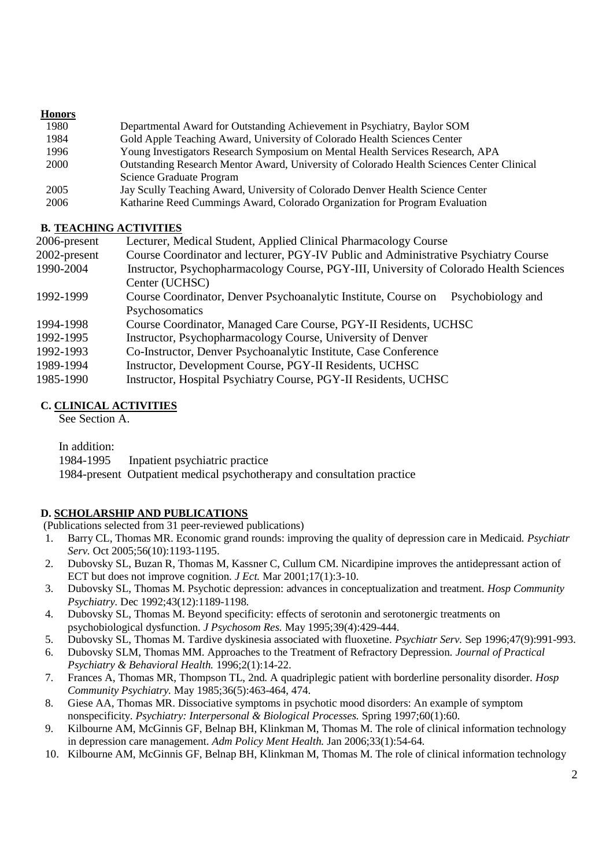## **Honors**

| 1980 | Departmental Award for Outstanding Achievement in Psychiatry, Baylor SOM                  |
|------|-------------------------------------------------------------------------------------------|
| 1984 | Gold Apple Teaching Award, University of Colorado Health Sciences Center                  |
| 1996 | Young Investigators Research Symposium on Mental Health Services Research, APA            |
| 2000 | Outstanding Research Mentor Award, University of Colorado Health Sciences Center Clinical |
|      | Science Graduate Program                                                                  |
| 2005 | Jay Scully Teaching Award, University of Colorado Denver Health Science Center            |
| 2006 | Katharine Reed Cummings Award, Colorado Organization for Program Evaluation               |

## **B. TEACHING ACTIVITIES**

| 2006-present | Lecturer, Medical Student, Applied Clinical Pharmacology Course                        |
|--------------|----------------------------------------------------------------------------------------|
| 2002-present | Course Coordinator and lecturer, PGY-IV Public and Administrative Psychiatry Course    |
| 1990-2004    | Instructor, Psychopharmacology Course, PGY-III, University of Colorado Health Sciences |
|              | Center (UCHSC)                                                                         |
| 1992-1999    | Course Coordinator, Denver Psychoanalytic Institute, Course on<br>Psychobiology and    |
|              | Psychosomatics                                                                         |
| 1994-1998    | Course Coordinator, Managed Care Course, PGY-II Residents, UCHSC                       |
| 1992-1995    | Instructor, Psychopharmacology Course, University of Denver                            |
| 1992-1993    | Co-Instructor, Denver Psychoanalytic Institute, Case Conference                        |
| 1989-1994    | Instructor, Development Course, PGY-II Residents, UCHSC                                |
| 1985-1990    | Instructor, Hospital Psychiatry Course, PGY-II Residents, UCHSC                        |

# **C. CLINICAL ACTIVITIES**

See Section A.

In addition:

1984-1995 Inpatient psychiatric practice

1984-present Outpatient medical psychotherapy and consultation practice

## **D. SCHOLARSHIP AND PUBLICATIONS**

(Publications selected from 31 peer-reviewed publications)

- 1. Barry CL, Thomas MR. Economic grand rounds: improving the quality of depression care in Medicaid. *Psychiatr Serv.* Oct 2005;56(10):1193-1195.
- 2. Dubovsky SL, Buzan R, Thomas M, Kassner C, Cullum CM. Nicardipine improves the antidepressant action of ECT but does not improve cognition. *J Ect.* Mar 2001;17(1):3-10.
- 3. Dubovsky SL, Thomas M. Psychotic depression: advances in conceptualization and treatment. *Hosp Community Psychiatry.* Dec 1992;43(12):1189-1198.
- 4. Dubovsky SL, Thomas M. Beyond specificity: effects of serotonin and serotonergic treatments on psychobiological dysfunction. *J Psychosom Res.* May 1995;39(4):429-444.
- 5. Dubovsky SL, Thomas M. Tardive dyskinesia associated with fluoxetine. *Psychiatr Serv.* Sep 1996;47(9):991-993.
- 6. Dubovsky SLM, Thomas MM. Approaches to the Treatment of Refractory Depression. *Journal of Practical Psychiatry & Behavioral Health.* 1996;2(1):14-22.
- 7. Frances A, Thomas MR, Thompson TL, 2nd. A quadriplegic patient with borderline personality disorder. *Hosp Community Psychiatry.* May 1985;36(5):463-464, 474.
- 8. Giese AA, Thomas MR. Dissociative symptoms in psychotic mood disorders: An example of symptom nonspecificity. *Psychiatry: Interpersonal & Biological Processes.* Spring 1997;60(1):60.
- 9. Kilbourne AM, McGinnis GF, Belnap BH, Klinkman M, Thomas M. The role of clinical information technology in depression care management. *Adm Policy Ment Health.* Jan 2006;33(1):54-64.
- 10. Kilbourne AM, McGinnis GF, Belnap BH, Klinkman M, Thomas M. The role of clinical information technology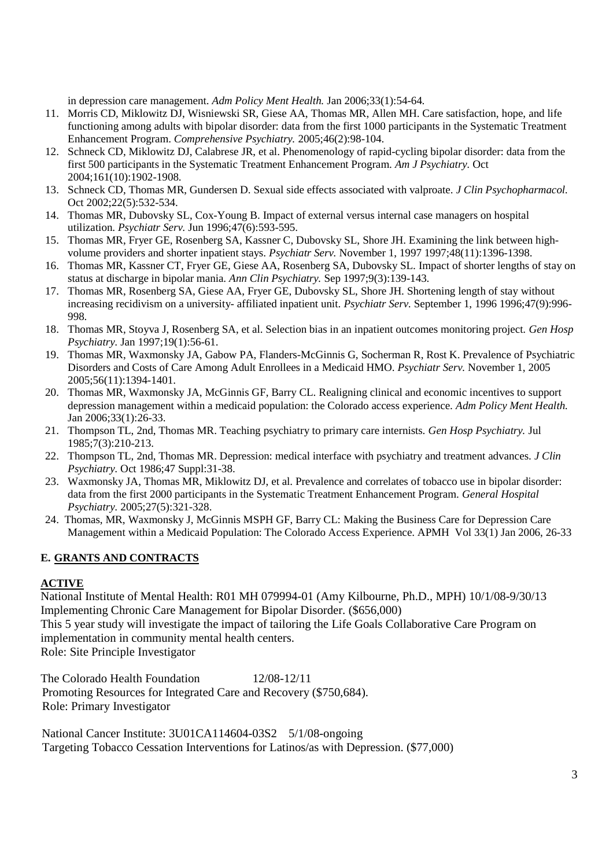in depression care management. *Adm Policy Ment Health.* Jan 2006;33(1):54-64.

- 11. Morris CD, Miklowitz DJ, Wisniewski SR, Giese AA, Thomas MR, Allen MH. Care satisfaction, hope, and life functioning among adults with bipolar disorder: data from the first 1000 participants in the Systematic Treatment Enhancement Program. *Comprehensive Psychiatry.* 2005;46(2):98-104.
- 12. Schneck CD, Miklowitz DJ, Calabrese JR, et al. Phenomenology of rapid-cycling bipolar disorder: data from the first 500 participants in the Systematic Treatment Enhancement Program. *Am J Psychiatry.* Oct 2004;161(10):1902-1908.
- 13. Schneck CD, Thomas MR, Gundersen D. Sexual side effects associated with valproate. *J Clin Psychopharmacol.* Oct 2002;22(5):532-534.
- 14. Thomas MR, Dubovsky SL, Cox-Young B. Impact of external versus internal case managers on hospital utilization. *Psychiatr Serv.* Jun 1996;47(6):593-595.
- 15. Thomas MR, Fryer GE, Rosenberg SA, Kassner C, Dubovsky SL, Shore JH. Examining the link between highvolume providers and shorter inpatient stays. *Psychiatr Serv.* November 1, 1997 1997;48(11):1396-1398.
- 16. Thomas MR, Kassner CT, Fryer GE, Giese AA, Rosenberg SA, Dubovsky SL. Impact of shorter lengths of stay on status at discharge in bipolar mania. *Ann Clin Psychiatry.* Sep 1997;9(3):139-143.
- 17. Thomas MR, Rosenberg SA, Giese AA, Fryer GE, Dubovsky SL, Shore JH. Shortening length of stay without increasing recidivism on a university- affiliated inpatient unit. *Psychiatr Serv.* September 1, 1996 1996;47(9):996- 998.
- 18. Thomas MR, Stoyva J, Rosenberg SA, et al. Selection bias in an inpatient outcomes monitoring project. *Gen Hosp Psychiatry.* Jan 1997;19(1):56-61.
- 19. Thomas MR, Waxmonsky JA, Gabow PA, Flanders-McGinnis G, Socherman R, Rost K. Prevalence of Psychiatric Disorders and Costs of Care Among Adult Enrollees in a Medicaid HMO. *Psychiatr Serv.* November 1, 2005 2005;56(11):1394-1401.
- 20. Thomas MR, Waxmonsky JA, McGinnis GF, Barry CL. Realigning clinical and economic incentives to support depression management within a medicaid population: the Colorado access experience. *Adm Policy Ment Health.* Jan 2006;33(1):26-33.
- 21. Thompson TL, 2nd, Thomas MR. Teaching psychiatry to primary care internists. *Gen Hosp Psychiatry.* Jul 1985;7(3):210-213.
- 22. Thompson TL, 2nd, Thomas MR. Depression: medical interface with psychiatry and treatment advances. *J Clin Psychiatry.* Oct 1986;47 Suppl:31-38.
- 23. Waxmonsky JA, Thomas MR, Miklowitz DJ, et al. Prevalence and correlates of tobacco use in bipolar disorder: data from the first 2000 participants in the Systematic Treatment Enhancement Program. *General Hospital Psychiatry.* 2005;27(5):321-328.
- 24. Thomas, MR, Waxmonsky J, McGinnis MSPH GF, Barry CL: Making the Business Care for Depression Care Management within a Medicaid Population: The Colorado Access Experience. APMH Vol 33(1) Jan 2006, 26-33

## **E. GRANTS AND CONTRACTS**

## **ACTIVE**

National Institute of Mental Health: R01 MH 079994-01 (Amy Kilbourne, Ph.D., MPH) 10/1/08-9/30/13 Implementing Chronic Care Management for Bipolar Disorder. (\$656,000) This 5 year study will investigate the impact of tailoring the Life Goals Collaborative Care Program on implementation in community mental health centers. Role: Site Principle Investigator

The Colorado Health Foundation 12/08-12/11 Promoting Resources for Integrated Care and Recovery (\$750,684). Role: Primary Investigator

National Cancer Institute: 3U01CA114604-03S2 5/1/08-ongoing Targeting Tobacco Cessation Interventions for Latinos/as with Depression. (\$77,000)